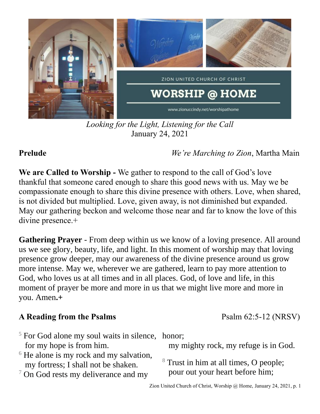

*Looking for the Light, Listening for the Call* January 24, 2021

**Prelude** *We're Marching to Zion*, Martha Main

**We are Called to Worship -** We gather to respond to the call of God's love thankful that someone cared enough to share this good news with us. May we be compassionate enough to share this divine presence with others. Love, when shared, is not divided but multiplied. Love, given away, is not diminished but expanded. May our gathering beckon and welcome those near and far to know the love of this divine presence.+

**Gathering Prayer** - From deep within us we know of a loving presence. All around us we see glory, beauty, life, and light. In this moment of worship may that loving presence grow deeper, may our awareness of the divine presence around us grow more intense. May we, wherever we are gathered, learn to pay more attention to God, who loves us at all times and in all places. God, of love and life, in this moment of prayer be more and more in us that we might live more and more in you. Amen**.+**

# A Reading from the Psalms **Psalms** Psalm 62:5-12 (NRSV)

- $5$  For God alone my soul waits in silence, honor; for my hope is from him.
- $6$  He alone is my rock and my salvation, my fortress; I shall not be shaken.
- $7$  On God rests my deliverance and my

my mighty rock, my refuge is in God.

<sup>8</sup> Trust in him at all times, O people; pour out your heart before him;

Zion United Church of Christ, Worship @ Home, January 24, 2021, p. 1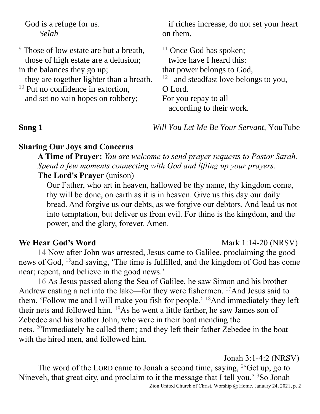God is a refuge for us. *Selah*

<sup>9</sup> Those of low estate are but a breath, those of high estate are a delusion; in the balances they go up; they are together lighter than a breath.  $10$  Put no confidence in extortion. and set no vain hopes on robbery; <sup>11</sup> Once God has spoken; twice have I heard this: that power belongs to God, 12 and steadfast love belongs to you, O Lord. For you repay to all according to their work.

on them.

**Song 1** *Will You Let Me Be Your Servant,* YouTube

if riches increase, do not set your heart

## **Sharing Our Joys and Concerns**

**A Time of Prayer:** *You are welcome to send prayer requests to Pastor Sarah. Spend a few moments connecting with God and lifting up your prayers.* **The Lord's Prayer** (unison)

Our Father, who art in heaven, hallowed be thy name, thy kingdom come, thy will be done, on earth as it is in heaven. Give us this day our daily bread. And forgive us our debts, as we forgive our debtors. And lead us not into temptation, but deliver us from evil. For thine is the kingdom, and the power, and the glory, forever. Amen.

## **We Hear God's Word** Mark 1:14-20 (NRSV)

14 Now after John was arrested, Jesus came to Galilee, proclaiming the good news of God, <sup>15</sup>and saying, 'The time is fulfilled, and the kingdom of God has come near; repent, and believe in the good news.'

16 As Jesus passed along the Sea of Galilee, he saw Simon and his brother Andrew casting a net into the lake—for they were fishermen.  $17$ And Jesus said to them, 'Follow me and I will make you fish for people.' <sup>18</sup>And immediately they left their nets and followed him. <sup>19</sup>As he went a little farther, he saw James son of Zebedee and his brother John, who were in their boat mending the nets. <sup>20</sup>Immediately he called them; and they left their father Zebedee in the boat with the hired men, and followed him.

Jonah 3:1-4:2 (NRSV)

The word of the LORD came to Jonah a second time, saying,  $2$  Get up, go to Nineveh, that great city, and proclaim to it the message that I tell you.<sup>'</sup> <sup>3</sup>So Jonah

Zion United Church of Christ, Worship @ Home, January 24, 2021, p. 2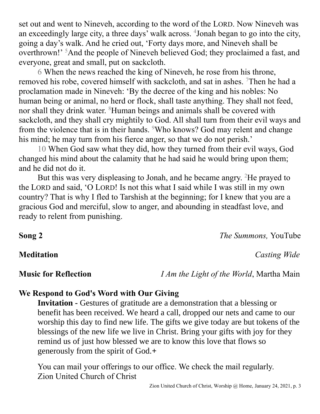set out and went to Nineveh, according to the word of the LORD. Now Nineveh was an exceedingly large city, a three days' walk across. <sup>4</sup>Jonah began to go into the city, going a day's walk. And he cried out, 'Forty days more, and Nineveh shall be overthrown!' <sup>5</sup>And the people of Nineveh believed God; they proclaimed a fast, and everyone, great and small, put on sackcloth.

6 When the news reached the king of Nineveh, he rose from his throne, removed his robe, covered himself with sackcloth, and sat in ashes. <sup>7</sup>Then he had a proclamation made in Nineveh: 'By the decree of the king and his nobles: No human being or animal, no herd or flock, shall taste anything. They shall not feed, nor shall they drink water. <sup>8</sup>Human beings and animals shall be covered with sackcloth, and they shall cry mightily to God. All shall turn from their evil ways and from the violence that is in their hands. <sup>9</sup>Who knows? God may relent and change his mind; he may turn from his fierce anger, so that we do not perish.'

10 When God saw what they did, how they turned from their evil ways, God changed his mind about the calamity that he had said he would bring upon them; and he did not do it.

But this was very displeasing to Jonah, and he became angry. <sup>2</sup>He prayed to the LORD and said, 'O LORD! Is not this what I said while I was still in my own country? That is why I fled to Tarshish at the beginning; for I knew that you are a gracious God and merciful, slow to anger, and abounding in steadfast love, and ready to relent from punishing.

**Song 2** *The Summons,* YouTube

**Meditation** *Casting Wide*

**Music for Reflection** *I Am the Light of the World*, Martha Main

# **We Respond to God's Word with Our Giving**

**Invitation -** Gestures of gratitude are a demonstration that a blessing or benefit has been received. We heard a call, dropped our nets and came to our worship this day to find new life. The gifts we give today are but tokens of the blessings of the new life we live in Christ. Bring your gifts with joy for they remind us of just how blessed we are to know this love that flows so generously from the spirit of God.**+**

You can mail your offerings to our office. We check the mail regularly. Zion United Church of Christ